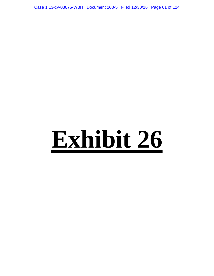Case 1:13-cv-03675-WBH Document 108-5 Filed 12/30/16 Page 61 of 124

# **Exhibit 26**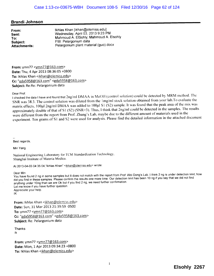#### Brandi Johnson

From: Sent: To: Subject: Attachments: Ikhlas Khan [ikhan@olemiss.edu] Wednesday, April 03, 2013 9:23 PM Mahmoud A. EISohly; Mahmoud A. Elsohly FW: Pelargonium data Pelargonium plant material (guo).docx

From: ymn77  $\langle \text{vmn}77@163.com \rangle$ Date: Thu, 4 Apr 2013 08:36:05 +0800 To: Ikhlas Khan <ikhan@olemiss.edu> Cc: "gda5958@163.com" <gda5958@163.com> Subject: Re:Re: Pelargonium data

#### Dear Prof.

I checked the data I have and found that  $2ng/ml$  DMAA in MeOH (control solution) could be detected by MRM method. The SNR was 38.3. The control solution was diluted from the 1mg/ml stock solution obtained from your lab.To evaluate the matrix effects,  $100\mu$ l 2ng/ml DMAA was added to  $100\mu$ l S1 (S2) sample. It was found that the peak area of the mix was approximately double of that of S1 (S2) (SNR>3). Thus, I think that 2ng/ml could be detected in the samples. The results were different from the report from Prof. Zhang's Lab, maybe due to the different amount of materials used in the experiment. Ten grams of S1 and S2 were used for analysis. Please find the detailed information in the attached document

Best regards,

Min Yang

National Engineering Laboratory for TCM Standardization Technology, Shanghai Institute of Materia Medica.

At 2013-04-03 04:35:04, "Ikhlas Khan" <ikhan@olemiss.edu> wrote:

Dear Min

You have found 2 ng in some samples but It does not match with the report from Prof. Wei Dong's Lab, I hand You say that we did not find did you find in these samples. Please confirm the results one more time. Our detection limit has been 10 ng if you say that we did not find anything under 10ng than we are Ok but if you find 2 ng, we need further confirmation Let me know if you have further question, Appreciate your help, IK

From: Ikhlas Khan <ikhan@olemiss.edu> Date: Sun, 31 Mar 2013 21:39:59 -0500 To: ymn77 <ymn77@163.com> Cc: "gda5958@163.com" <gda5958@163.com> Subject: Re: Pelargonium data

Thanks ik

From: ymn77  $\leq$ ymn77@163.com> Date: Mon, 1 Apr 2013 09:34:23 +0800 To: Ikhlas Khan <ikhan@olemiss.edu>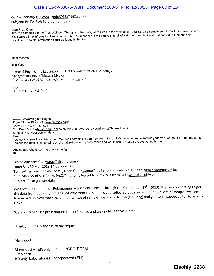## Cc: "gda5958@163.com" <gda5958@163.com>

#### Subject: Re:Fw:FW: Pelargonium data

Dear Prof. Khan

The two samples sent to Prof. Weidong Zhang from Kunming were listed in the table as S1 and S2 One sample sent to Prof. Guo was listed as S3. I gave all the infromation I know in the table. Attached file is the analysis detail of Pelargonium plant material and oil. All the analysis results and sample infromation could be found in the file,

Best regards,

Min Yang

National Engineering Laboratory for TCM Standardization Technology. Shanghai Institute of Materia Medica. 在 2013-03-31 07:39:07. daguo@mail.shcnc.ac.cn 写道:

杨敏, 张卫东给的样品分析了没有?

-------- Forwarding messages -------- From: "Ikhlas Khan" <ikhan@olemiss.edu> Date: 2013-03-31 05:18:27 To: "Dean Guo" <daguo@mail.shcnc.ac.cn>,zhangwei-dong <wdzhangy@hotmail.com> Subject: FW Pelargonium data Dear You got this email from Mahmoud. We send samples to you from Kunming and also you got some sample, you for the first information to compile the results, which will get lot of attention during conference and would like to make sure everything is fine,

Any update who is coming or not coming? IK

From: Waseem Gul <wgul@elsohly.com> Date: Sat, 30 Mar 2013 14:55:29 -0500 To: < wdzhangy@hotmail.com>, Dean Guo < daguo@mail.shcnc.ac.cn>, Ikhlas Khan < ikhan@olemiss.edu> Cc: "'Mahmoud A. ElSohly, Ph.D.'" <elsohly@elsohly.com>, Waseem Gul <wgul@elsohly.com> Subject: Pelargonium data

We received the data on Pelargonium work from Juansu (through Dr. Khan on Jan.17<sup>th</sup>, 2013). We were expecting to get the data from both of your labs not only from the samples you collected but also from the two sets of samples we sent to you back in November 2012. The two set of samples were sent to you (Dr. Zang) and you were supposed to share with DeAn.

We are preparing a presentation for conference and we really need your data.

Thank you for a response to my request.

Mahmoud

Mahmoud A. EISohly, Ph.D., BCFE, BCFM President EISohly Laboratories, Incorporated (ELI)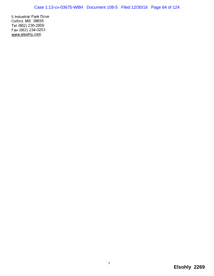5 Industrial Park Drive Oxford, MS 38655 Tel (662) 236-2609 Fax (662) 234-0253 www.elsohly.com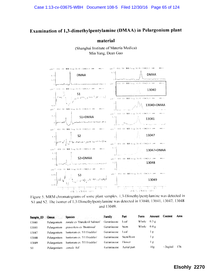# Examination of 1,3-dimethylpentylamine (DMAA) in Pelargonium plant

material

(Shanghai Institute of Materia Medica) Min Yang, Dean Guo



Figure 5. MRM chromatograms of some plant samples. 1,3-Dimethylpentylamine was detected in S1 and S2. The isomer of 1,3-Dimethylpentylamine was detected in 13040, 13041, 13047, 13048 and 13049.

|               |                               | Sample ID Genus Species Family Family |             | Part          | Form          | Amount | Content       | Area |
|---------------|-------------------------------|---------------------------------------|-------------|---------------|---------------|--------|---------------|------|
| 13040         | Pelargonium                   | zonale cv 'Daredevil Salmon'          | Geraniaceae | -Leaf         | Whole $0.3 g$ |        |               |      |
| 13041         | Pelargonium                   | graveolens cv 'Bontrosai'             | Geraniaceae | <b>Stem</b>   | Whole         | 0.4 g  |               |      |
| 13047         | Pelargonium                   | hortorum cv. 'F1 Freckles'            | Geraniaceae | -Leaf         |               | Ιg     |               |      |
| 13048         | Pelargonium                   | hortorum cv. 'F1 Freckles'            | Geraniaceae | Stem/Root     |               | l g    |               |      |
| 13049         | Pelargonium                   | hortorum cv. 'F1 Freckles'            | Geraniaceae | <b>Flower</b> |               | Ιg     |               |      |
| <sup>S1</sup> | Pelargonium <i>zonale</i> Aif |                                       | Geraniaceae | Aerial part   |               | 10g    | $\leq$ 2ng/ml | -176 |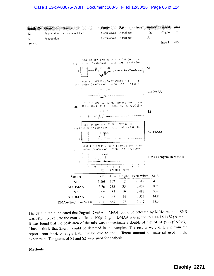### Case 1:13-cv-03675-WBH Document 108-5 Filed 12/30/16 Page 66 of 124

| Sample ID      | Genus :     | <b>Species</b>                                                                                                                                    | <b>Family</b>                                                                                                                                         |        | Part        | Form                                     | <b>Amount</b>             | Content    | Area |
|----------------|-------------|---------------------------------------------------------------------------------------------------------------------------------------------------|-------------------------------------------------------------------------------------------------------------------------------------------------------|--------|-------------|------------------------------------------|---------------------------|------------|------|
| S <sub>2</sub> | Pelargonium | graveolens L'Her                                                                                                                                  | Geraniaceae                                                                                                                                           |        | Aerial part |                                          | 10g                       | $<$ 2ng/ml | 102  |
| S <sub>3</sub> | Pelargonium |                                                                                                                                                   | Geraniaceae                                                                                                                                           |        | Aerial part |                                          | 5g                        |            |      |
| DMAA           |             |                                                                                                                                                   |                                                                                                                                                       |        |             |                                          |                           | $2$ ng/ml  | 443  |
|                |             | x10-2 Noise (PeakToPeak) 3.00; SNR (3.808分钟…<br>$x10^{-2}$ Noise (PeakToPeak) 4.00; SNR (3.760分钟…<br>x10-2 Noise (PeakToPeak) 2.00; SNR (3.625分钟… | +ESI TIC MRM Frag 50.0V CID@20.0 (** > *…<br>$-$ ESI TIC MRM Frag 50.0V CID@20.0 (** $\cdots$ * $\cdots$<br>+ESI TIC MRM Frag 50.0V CID@20.0 (** > *… |        |             | 1808<br>A montanana probabar horaldanana | S1<br>S1+DMAA             |            |      |
|                |             | $\ge 10^{-2}$                                                                                                                                     | ·ESI TIC MRM Frag 50.0V CID@20.0 (**<br>Noise (PeakToPeak) 3.00; SNR (3.631分钟…<br>* 34631                                                             |        |             |                                          | S <sub>2</sub><br>S2+DMAA |            |      |
|                |             | $x10^{-2}$ Noise (PeakToPeak) 2.00; SNR (3.631分钟…<br>$\mathbf{1}$ –<br>$\dot{2}$                                                                  | +ES1 TIC MRM Frag 50.0V C1D@20.0 (**<br>-3. 631<br>2.501<br>3.<br>$\overline{A}$<br>计数 与 采集时间 (分钟)                                                    | 5<br>6 | $\hat{7}$   | $\rightarrow$ *<br>9<br>8                | DMAA (2ng/ml in MeOH)     |            |      |
|                |             | Sample                                                                                                                                            | RT                                                                                                                                                    | Area   | Height      | Peak Width                               | <b>SNR</b>                |            |      |
|                |             | S1                                                                                                                                                | 3.808                                                                                                                                                 | 107    | 12          | 0.319                                    | 4.1                       |            |      |
|                |             | $S1+DMAA$                                                                                                                                         | 3.76                                                                                                                                                  | 233    | 35          | 0.407                                    | 8.9                       |            |      |
|                |             | S <sub>2</sub>                                                                                                                                    | 3.625                                                                                                                                                 | 188    | 19          | 0.482                                    | 9.4                       |            |      |
|                |             | S2+DMAA                                                                                                                                           | 3.631                                                                                                                                                 | 368    | 44          | 0.523                                    | 14.8                      |            |      |
|                |             | DMAA(2ng/ml in MeOH)                                                                                                                              | 3.631                                                                                                                                                 | 567    | 77          | 0.112                                    | 38.3                      |            |      |

The data in table indicated that 2ng/ml DMAA in MeOH could be detected by MRM method. SNR was 38.3. To evaluate the matrix effects, 100µl 2ng/ml DMAA was added to 100µl S1 (S2) sample. It was found that the peak area of the mix was approximately double of that of S1 (S2) (SNR>3). Thus, I think that 2ng/ml could be detected in the samples. The results were different from the report from Prof. Zhang's Lab, maybe due to the different amount of material used in the experiment. Ten grams of S1 and S2 were used for analysis.

#### **Methods**